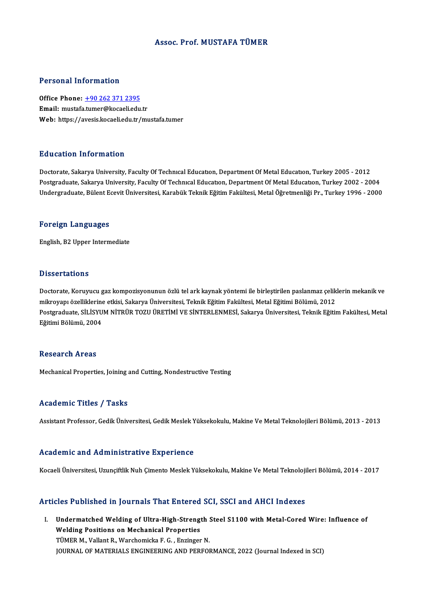#### Assoc. Prof.MUSTAFA TÜMER

#### Personal Information

Office Phone: +90 262 371 2395 Email: mustafa[.tumer@kocaeli.edu](tel:+90 262 371 2395).tr Web: https://avesis.kocaeli.edu.tr/mustafa.tumer

#### Education Information

Doctorate, Sakarya University, Faculty Of Technical Education, Department Of Metal Education, Turkey 2005 - 2012 Postgraduate, Sakarya University, Faculty Of Technical Education, Department Of Metal Education, Turkey 2002 - 2004 Undergraduate, Bülent Ecevit Üniversitesi, Karabük Teknik Eğitim Fakültesi, Metal Öğretmenliği Pr., Turkey 1996 - 2000

#### Foreign Languages

English,B2Upper Intermediate

#### **Dissertations**

Dissertations<br>Doctorate, Koruyucu gaz kompozisyonunun özlü tel ark kaynak yöntemi ile birleştirilen paslanmaz çeliklerin mekanik ve<br>mikrovanı özelliklerine etkisi Sakarya Üniversitesi Teknik Fğitim Fakültesi Metal Fğitimi mikrova tatromik<br>Doctorate, Koruyucu gaz kompozisyonunun özlü tel ark kaynak yöntemi ile birleştirilen paslanmaz çelik<br>Mikroyapı özelliklerine etkisi, Sakarya Üniversitesi, Teknik Eğitim Fakültesi, Metal Eğitimi Bölümü, 20 Doctorate, Koruyucu gaz kompozisyonunun özlü tel ark kaynak yöntemi ile birleştirilen paslanmaz çeliklerin mekanik ve<br>mikroyapı özelliklerine etkisi, Sakarya Üniversitesi, Teknik Eğitim Fakültesi, Metal Eğitimi Bölümü, 201 mikroyapı özelliklerine<br>Postgraduate, SİLİSYU<br>Eğitimi Bölümü, 2004 Eğitimi Bölümü, 2004<br>Research Areas

Mechanical Properties, Joining and Cutting, Nondestructive Testing

#### Academic Titles / Tasks

Assistant Professor, Gedik Üniversitesi, Gedik Meslek Yüksekokulu, Makine Ve Metal Teknolojileri Bölümü, 2013 - 2013

#### Academic and Administrative Experience

Kocaeli Üniversitesi, Uzunçiftlik Nuh Çimento Meslek Yüksekokulu, Makine Ve Metal Teknolojileri Bölümü, 2014 - 2017

#### Articles Published in Journals That Entered SCI, SSCI and AHCI Indexes

I. UndermatchedWelding of Ultra-High-Strength Steel S1100 with Metal-CoredWire: Influence of Mechanical III you have a matematical<br>Undermatched Welding of Ultra-High-Strengt<br>Welding Positions on Mechanical Properties Undermatched Welding of Ultra-High-Strength :<br>Welding Positions on Mechanical Properties<br>TÜMER M., Vallant R., Warchomicka F. G. , Enzinger N.<br>JOUPMAL OF MATERIALS ENGINEERING AND REREOL TÜMER M., Vallant R., Warchomicka F. G. , Enzinger N.<br>JOURNAL OF MATERIALS ENGINEERING AND PERFORMANCE, 2022 (Journal Indexed in SCI)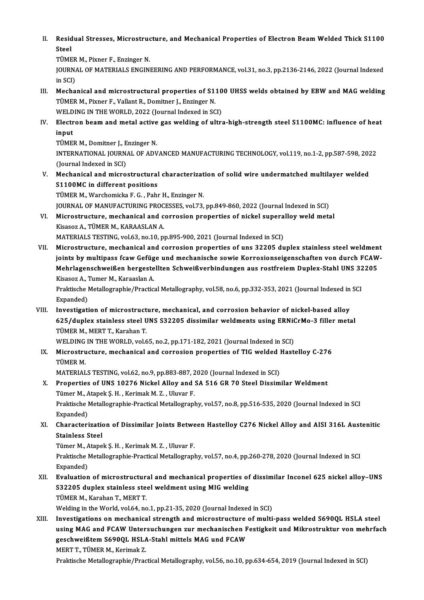II. Residual Stresses, Microstructure, and Mechanical Properties of Electron Beam Welded Thick S1100<br>Stool Resid<br>Steel<br>Tümp Residual Stresses, Microstruc<br>Steel<br>TÜMER M., Pixner F., Enzinger N.<br>JOUPMAL OF MATEPIALS ENCINI

Steel<br>TÜMER M., Pixner F., Enzinger N.<br>JOURNAL OF MATERIALS ENGINEERING AND PERFORMANCE, vol.31, no.3, pp.2136-2146, 2022 (Journal Indexed<br>in SCD TÜMER<br>JOURNA<br>in SCI)<br>Mocha JOURNAL OF MATERIALS ENGINEERING AND PERFORMANCE, vol.31, no.3, pp.2136-2146, 2022 (Journal Indexed<br>in SCI)<br>III. Mechanical and microstructural properties of S1100 UHSS welds obtained by EBW and MAG welding<br>TUMER M. Piynar

- in SCI)<br>Mechanical and microstructural properties of S110<br>TÜMER M., Pixner F., Vallant R., Domitner J., Enzinger N.<br>WELDING IN THE WORLD, 2022 (Journal Indexed in SCI) Mechanical and microstructural properties of S110<br>TÜMER M., Pixner F., Vallant R., Domitner J., Enzinger N.<br>WELDING IN THE WORLD, 2022 (Journal Indexed in SCI)<br>Flestron beam and motel astive gas welding of ultre TÜMER M., Pixner F., Vallant R., Domitner J., Enzinger N.<br>WELDING IN THE WORLD, 2022 (Journal Indexed in SCI)<br>IV. Electron beam and metal active gas welding of ultra-high-strength steel S1100MC: influence of heat<br>innut
- WELD<br><mark>Electr</mark><br>input<br>TÜME! Electron beam and metal active<br>input<br>TÜMER M., Domitner J., Enzinger N.<br>INTERNATIONAL JOURNAL OF ADV

TÜMER M., Domitner J., Enzinger N.

input<br>TÜMER M., Domitner J., Enzinger N.<br>INTERNATIONAL JOURNAL OF ADVANCED MANUFACTURING TECHNOLOGY, vol.119, no.1-2, pp.587-598, 2022<br>(Journal Indexed in SCI) INTERNATIONAL JOURNAL OF ADVANCED MANUFACTURING TECHNOLOGY, vol.119, no.1-2, pp.587-598, 202<br>(Journal Indexed in SCI)<br>V. Mechanical and microstructural characterization of solid wire undermatched multilayer welded<br>S1100MG

S1100MC in different positions<br>TÜMER M., Warchomicka F. G., Pahr H., Enzinger N. Mechanical and microstructural characterizat<br>S1100MC in different positions<br>TÜMER M., Warchomicka F. G. , Pahr H., Enzinger N.<br>JOUPMAL OF MANUEACTURING PROGESSES .val 72.

S1100MC in different positions<br>TÜMER M., Warchomicka F. G. , Pahr H., Enzinger N.<br>JOURNAL OF MANUFACTURING PROCESSES, vol.73, pp.849-860, 2022 (Journal Indexed in SCI)<br>Misrostrusture, mosbanisal and serrosian properties of

- 
- VI. Microstructure, mechanical and corrosion properties of nickel superalloy weld metal<br>Kisasoz A., TÜMER M., KARAASLAN A. **JOURNAL OF MANUFACTURING PROC<br>Microstructure, mechanical and c<br>Kisasoz A., TÜMER M., KARAASLAN A.<br>MATEPIALS TESTING vol 63 pp 10 pp** 
	- MATERIALS TESTING, vol.63, no.10, pp.895-900, 2021 (Journal Indexed in SCI)
- Kisasoz A., TÜMER M., KARAASLAN A.<br>MATERIALS TESTING, vol.63, no.10, pp.895-900, 2021 (Journal Indexed in SCI)<br>VII. Microstructure, mechanical and corrosion properties of uns 32205 duplex stainless steel weldment<br>ioints by MATERIALS TESTING, vol.63, no.10, pp.895-900, 2021 (Journal Indexed in SCI)<br>Microstructure, mechanical and corrosion properties of uns 32205 duplex stainless steel weldment<br>joints by multipass fcaw Gefüge und mechanische s Microstructure, mechanical and corrosion properties of uns 32205 duplex stainless steel weldmen<br>joints by multipass fcaw Gefüge und mechanische sowie Korrosionseigenschaften von durch FCAW<br>Mehrlagenschweißen hergestellten joints by multipass fcaw Gefüg<br>Mehrlagenschweißen hergeste<br>Kisasoz A., Tumer M., Karaaslan A.<br>Praktische Metallegraphie (Prastie Mehrlagenschweißen hergestellten Schweißverbindungen aus rostfreiem Duplex-Stahl UNS 32<br>Kisasoz A., Tumer M., Karaaslan A.<br>Praktische Metallographie/Practical Metallography, vol.58, no.6, pp.332-353, 2021 (Journal Indexed

Kisasoz A., Tumer M., Karaaslan A.<br>Praktische Metallographie/Practical Metallography, vol.58, no.6, pp.332-353, 2021 (Journal Indexed in SCI<br>Expanded) Praktische Metallographie/Practical Metallography, vol.58, no.6, pp.332-353, 2021 (Journal Indexed in<br>Expanded)<br>VIII. Investigation of microstructure, mechanical, and corrosion behavior of nickel-based alloy<br>625/dunley sta

Expanded)<br>Investigation of microstructure, mechanical, and corrosion behavior of nickel-based alloy<br>625/duplex stainless steel UNS S32205 dissimilar weldments using ERNiCrMo-3 filler metal<br>TÜMER M. MERT T. Karaban T. Investigation of microstruct<br>625/duplex stainless steel U<br>TÜMER M., MERT T., Karahan T.<br>WELDING IN THE WORLD vol 6 625/duplex stainless steel UNS S32205 dissimilar weldments using ERNiCrMo-3 filler metal TÜMER M., MERT T., Karahan T.

WELDING IN THE WORLD, vol.65, no.2, pp.171-182, 2021 (Journal Indexed in SCI)

IX. Microstructure, mechanical and corrosion properties of TIG welded Hastelloy C-276<br>TÜMER M. Microstructure, mechanical and corrosion properties of TIG welded l<br>TÜMER M.<br>MATERIALS TESTING, vol.62, no.9, pp.883-887, 2020 (Journal Indexed in SCI)<br>Properties of UNS 19276 Nighel Alley and SA 516 CP 70 Steel Dissim

- X. Properties of UNS 10276 Nickel Alloy and SA 516 GR 70 Steel Dissimilar Weldment MATERIALS TESTING, vol.62, no.9, pp.883-887, 2<br>Properties of UNS 10276 Nickel Alloy and<br>Tümer M., Atapek Ş. H. , Kerimak M. Z. , Uluvar F.<br>Prektische Metellegraphie Prestisel Metellegraph Praktische Metallographie-Practical Metallography, vol.57, no.8, pp.516-535, 2020 (Journal Indexed in SCI Expanded) Tümer M., Atapek Ş. H., Kerimak M. Z., Uluvar F.
- Praktische Metallographie-Practical Metallography, vol.57, no.8, pp.516-535, 2020 (Journal Indexed in SCI<br>Expanded)<br>XI. Characterization of Dissimilar Joints Between Hastelloy C276 Nickel Alloy and AISI 316L Austenitic<br>Sta Expanded)<br>Characterizatio<br>Stainless Steel<br>Tümer M. Atana Characterization of Dissimilar Joints Betwe<br>Stainless Steel<br>Tümer M., Atapek Ş. H. , Kerimak M. Z. , Uluvar F.<br>Praktische Metallegraphie Practisel Metallegraph

Stainless Steel<br>Tümer M., Atapek Ş. H. , Kerimak M. Z. , Uluvar F.<br>Praktische Metallographie-Practical Metallography, vol.57, no.4, pp.260-278, 2020 (Journal Indexed in SCI<br>Evnanded) Tümer M., A<br>Praktische I<br>Expanded)<br>Eveluation Praktische Metallographie-Practical Metallography, vol.57, no.4, pp.260-278, 2020 (Journal Indexed in SCI<br>Expanded)<br>XII. Evaluation of microstructural and mechanical properties of dissimilar Inconel 625 nickel alloy–UNS<br>S2

## Expanded)<br>Evaluation of microstructural and mechanical properties of<br>S32205 duplex stainless steel weldment using MIG welding<br>TÜMER M. Karaban T. MERT T. Evaluation of microstructur<br>S32205 duplex stainless ste<br>TÜMER M., Karahan T., MERT T.<br>Welding in the Werld vel 64 no S32205 duplex stainless steel weldment using MIG welding<br>TÜMER M., Karahan T., MERT T.<br>Welding in the World, vol.64, no.1, pp.21-35, 2020 (Journal Indexed in SCI)

XIII. Investigations on mechanical strength and microstructure of multi-pass welded S690QL HSLA steel Welding in the World, vol.64, no.1, pp.21-35, 2020 (Journal Indexed in SCI)<br>Investigations on mechanical strength and microstructure of multi-pass welded S690QL HSLA steel<br>using MAG and FCAW Untersuchungen zur mechanischen Investigations on mechanical strength and microstructure<br>using MAG and FCAW Untersuchungen zur mechanischen F<br>geschweißtem S690QL HSLA-Stahl mittels MAG und FCAW<br>MERTT TÜMER M. Karimak 7 using MAG and FCAW Unter<br>geschweißtem S690QL HSLA<br>MERT T., TÜMER M., Kerimak Z.<br>Praktische Metallegraphie (Pres geschweißtem S690QL HSLA-Stahl mittels MAG und FCAW<br>MERT T., TÜMER M., Kerimak Z.<br>Praktische Metallographie/Practical Metallography, vol.56, no.10, pp.634-654, 2019 (Journal Indexed in SCI)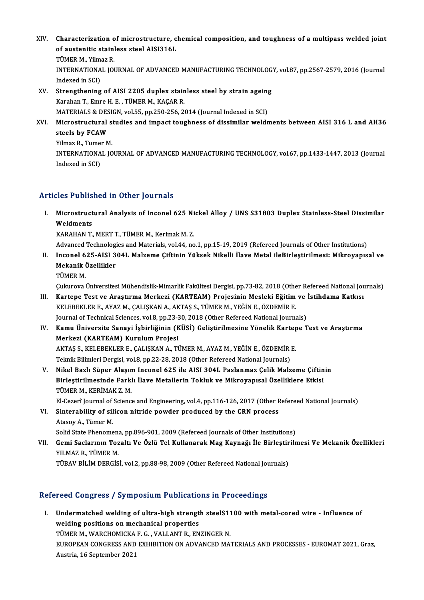- XIV. Characterization of microstructure, chemical composition, and toughness of a multipass welded joint<br>Set outeritie stainless stool AIS12161 Characterization of microstructure, cl<br>of austenitic stainless steel AISI316L<br>TÜMER M. Vilmer B Characterization<br>of austenitic stain|<br>TÜMER M., Yilmaz R.<br>INTERMATIONAL JOI of austenitic stainless steel AISI316L<br>TÜMER M., Yilmaz R.<br>INTERNATIONAL JOURNAL OF ADVANCED MANUFACTURING TECHNOLOGY, vol.87, pp.2567-2579, 2016 (Journal TÜMER M., Yilm<br>INTERNATIONA<br>Indexed in SCI)<br>Strengthening INTERNATIONAL JOURNAL OF ADVANCED MANUFACTURING TECHNOLOG<br>Indexed in SCI)<br>XV. Strengthening of AISI 2205 duplex stainless steel by strain ageing<br>Karaban T. Emro H. E. TÜMER M. KAGAR R.
- Indexed in SCI)<br>Strengthening of AISI 2205 duplex stainless steel by strain agein<br>Karahan T., Emre H. E., TÜMER M., KAÇAR R.<br>MATERIALS & DESIGN, vol.55, pp.250-256, 2014 (Journal Indexed in SCI) Strengthening of AISI 2205 duplex stainless steel by strain ageing<br>Karahan T., Emre H. E. , TÜMER M., KAÇAR R.<br>MATERIALS & DESIGN, vol.55, pp.250-256, 2014 (Journal Indexed in SCI)<br>Microstrustural studies and impact toughn
- XVI. Microstructural studies and impact toughness of dissimilar weldments between AISI 316 L and AH36 steels by FCAW Microstructural s<br>steels by FCAW<br>Yilmaz R., Tumer M.<br>INTERNATIONAL JO

INTERNATIONAL JOURNAL OF ADVANCED MANUFACTURING TECHNOLOGY, vol.67, pp.1433-1447, 2013 (Journal Indexed in SCI) Yilmaz R., Tume<br>INTERNATIONA<br>Indexed in SCI)

### Articles Published in Other Journals

rticles Published in Other Journals<br>I. Microstructural Analysis of Inconel 625 Nickel Alloy / UNS S31803 Duplex Stainless-Steel Dissimilar<br>Weldmants Microstruct<br>Weldments<br>Weldments Microstructural Analysis of Inconel 625 Ni<br>Weldments<br>KARAHAN T., MERT T., TÜMER M., Kerimak M. Z.<br>Advanced Technologies and Materials vol 44 no Weldments<br>KARAHAN T., MERT T., TÜMER M., Kerimak M. Z.<br>Advanced Technologies and Materials, vol.44, no.1, pp.15-19, 2019 (Refereed Journals of Other Institutions)<br>Insenal 625, AISL 2041, Malsome Ciftinin Vüksek Nikelli İla

- KARAHAN T., MERT T., TÜMER M., Kerimak M. Z.<br>Advanced Technologies and Materials, vol.44, no.1, pp.15-19, 2019 (Refereed Journals of Other Institutions)<br>II. Inconel 625-AISI 304L Malzeme Çiftinin Yüksek Nikelli İlave Me Advanced Technologi<br>Inconel 625-AISI 3<br>Mekanik Özellikler<br>TÜMEP M Inconel 6<br>Mekanik (<br>TÜMER M.<br>Culareve l Mekanik Özellikler<br>TÜMER M.<br>Çukurova Üniversitesi Mühendislik-Mimarlik Fakültesi Dergisi, pp.73-82, 2018 (Other Refereed National Journals)
	-

- TÜMER M.<br>1901 Çukurova Üniversitesi Mühendislik-Mimarlik Fakültesi Dergisi, pp.73-82, 2018 (Other Refereed National Jou<br>1911 Kartepe Test ve Araştırma Merkezi (KARTEAM) Projesinin Mesleki Eğitim ve İstihdama Katkısı<br>1911 Y Çukurova Üniversitesi Mühendislik-Mimarlik Fakültesi Dergisi, pp.73-82, 2018 (Othe<br>Kartepe Test ve Araştırma Merkezi (KARTEAM) Projesinin Mesleki Eğitim<br>KELEBEKLER E., AYAZ M., ÇALIŞKAN A., AKTAŞ S., TÜMER M., YEĞİN E., ÖZ Kartepe Test ve Araştırma Merkezi (KARTEAM) Projesinin Mesleki Eğitim ve<br>KELEBEKLER E., AYAZ M., ÇALIŞKAN A., AKTAŞ S., TÜMER M., YEĞİN E., ÖZDEMİR E.<br>Journal of Technical Sciences, vol.8, pp.23-30, 2018 (Other Refereed Na KELEBEKLER E., AYAZ M., ÇALIŞKAN A., AKTAŞ S., TÜMER M., YEĞİN E., ÖZDEMİR E.<br>Journal of Technical Sciences, vol.8, pp.23-30, 2018 (Other Refereed National Journals)<br>IV. Kamu Üniversite Sanayi İşbirliğinin (KÜSİ) Geliş
- Journal of Technical Sciences, vol.8, pp.23-30, 2018 (Other Refereed National Journals)<br>Kamu Üniversite Sanayi İşbirliğinin (KÜSİ) Geliştirilmesine Yönelik Kartepe T<br>Merkezi (KARTEAM) Kurulum Projesi Kamu Üniversite Sanayi İşbirliğinin (KÜSİ) Geliştirilmesine Yönelik Karter<br>Merkezi (KARTEAM) Kurulum Projesi<br>AKTAŞ S., KELEBEKLER E., ÇALIŞKAN A., TÜMER M., AYAZ M., YEĞİN E., ÖZDEMİR E.<br>Telmik Bilimleri Dergisi vel 9, nn AKTAŞ S., KELEBEKLER E., ÇALIŞKAN A., TÜMER M., AYAZ M., YEĞİN E., ÖZDEMİR E.<br>Teknik Bilimleri Dergisi, vol.8, pp.22-28, 2018 (Other Refereed National Journals)
- V. Nikel Bazlı Süper Alaşım Inconel 625 ile AISI 304L Paslanmaz Çelik Malzeme Çiftinin Teknik Bilimleri Dergisi, vol.8, pp.22-28, 2018 (Other Refereed National Journals)<br>Nikel Bazlı Süper Alaşım Inconel 625 ile AISI 304L Paslanmaz Çelik Malzeme Çiftin<br>Birleştirilmesinde Farklı İlave Metallerin Tokluk ve Mikr Nikel Bazlı Süper Alaşın<br>Birleştirilmesinde Farkl<br>TÜMER M., KERİMAK Z. M.<br>El Cararî Jaurral of Sciang Birleştirilmesinde Farklı İlave Metallerin Tokluk ve Mikroyapısal Özelliklere Etkisi<br>TÜMER M., KERİMAK Z. M.<br>El-Cezerî Journal of Science and Engineering, vol.4, pp.116-126, 2017 (Other Refereed National Journals)<br>Sintereb

TÜMER M., KERİMAK Z. M.<br>El-Cezerî Journal of Science and Engineering, vol.4, pp.116-126, 2017 (Other F<br>VI. Sinterability of silicon nitride powder produced by the CRN process<br>Atasey A. Tümer M El-Cezerî Journal of<br>Sinterability of sil<br>Atasoy A., Tümer M.<br>Solid State Phenome Sinterability of silicon nitride powder produced by the CRN process<br>Atasoy A., Tümer M.<br>Solid State Phenomena, pp.896-901, 2009 (Refereed Journals of Other Institutions)<br>Comi Saclarunu Togalti Ve Örlü Tel Kullanarak Mag Ko

Atasoy A., Tümer M.<br>Solid State Phenomena, pp.896-901, 2009 (Refereed Journals of Other Institutions)<br>VII. — Gemi Saclarının Tozaltı Ve Özlü Tel Kullanarak Mag Kaynağı İle Birleştirilmesi Ve Mekanik Özellikleri<br>VII. — YUMA Solid State Phenomen<br>Gemi Saclarının Toz<br>YILMAZ R., TÜMER M.<br>TÜRAV PİLİM DERÇİS Gemi Saclarının Tozaltı Ve Özlü Tel Kullanarak Mag Kaynağı İle Birleştir<br>YILMAZ R., TÜMER M.<br>TÜBAV BİLİM DERGİSİ, vol.2, pp.88-98, 2009 (Other Refereed National Journals)

# TÜBAV BİLİM DERGİSİ, vol.2, pp.88-98, 2009 (Other Refereed National Journals)<br>Refereed Congress / Symposium Publications in Proceedings

efereed Congress / Symposium Publications in Proceedings<br>I. Undermatched welding of ultra-high strength steelS1100 with metal-cored wire - Influence of<br>welding positions on mechanical properties Undermatched welding of ultra-high strengt<br>welding positions on mechanical properties<br>TÜMER M. WARCHOMICKA E.C. VALLANT R. EN Undermatched welding of ultra-high strength steelS11<br>welding positions on mechanical properties<br>TÜMER M., WARCHOMICKA F. G. , VALLANT R., ENZINGER N.<br>FUROPEAN CONCRESS AND EVHIPITION ON ADVANGED MA welding positions on mechanical properties<br>TÜMER M., WARCHOMICKA F. G. , VALLANT R., ENZINGER N.<br>EUROPEAN CONGRESS AND EXHIBITION ON ADVANCED MATERIALS AND PROCESSES - EUROMAT 2021, Graz,<br>Austria, 16 September 2021 TÜMER M., WARCHOMICKA F. G., VALLANT R., ENZINGER N.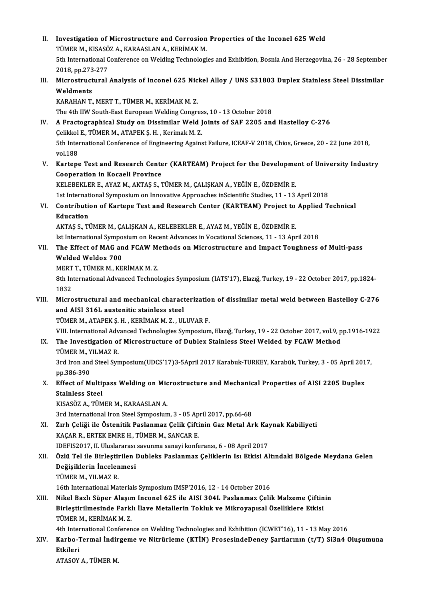II. Investigation of Microstructure and Corrosion Properties of the Inconel 625 Weld<br>TÜMER M. KISASÖZ A. KARAASLAN A. KERİMAK M Investigation of Microstructure and Corrosion<br>TÜMER M., KISASÖZ A., KARAASLAN A., KERİMAK M.<br>Eth International Conference on Welding Technologi 5th International Conference on Welding Technologies and Exhibition, Bosnia And Herzegovina, 26 - 28 September<br>2018, pp.273-277 TÜMER M., KISASÖZ A., KARAASLAN A., KERİMAK M. 5th International Conference on Welding Technologies and Exhibition, Bosnia And Herzegovina, 26 - 28 September<br>2018, pp.273-277<br>III. Microstructural Analysis of Inconel 625 Nickel Alloy / UNS S31803 Duplex Stainless Steel 2018, pp.273<br>Microstruct<br>Weldments<br>KARAHAN T Microstructural Analysis of Inconel 625 Nic<br>Weldments<br>KARAHAN T., MERT T., TÜMER M., KERİMAK M. Z.<br>The 4th UW South East European Welding Congre Weldments<br>KARAHAN T., MERT T., TÜMER M., KERİMAK M. Z.<br>The 4th IIW South-East European Welding Congress, 10 - 13 October 2018 KARAHAN T., MERT T., TÜMER M., KERİMAK M. Z.<br>The 4th IIW South-East European Welding Congress, 10 - 13 October 2018<br>IV. A Fractographical Study on Dissimilar Weld Joints of SAF 2205 and Hastelloy C-276 The 4th IIW South-East European Welding Congres<br>A Fractographical Study on Dissimilar Weld J<br>Çelikkol E., TÜMER M., ATAPEK Ş. H. , Kerimak M. Z.<br>Eth International Conference of Engineering Ageine A Fractographical Study on Dissimilar Weld Joints of SAF 2205 and Hastelloy C-276<br>Çelikkol E., TÜMER M., ATAPEK Ş. H. , Kerimak M. Z.<br>5th International Conference of Engineering Against Failure, ICEAF-V 2018, Chios, Greece Celikkol<br>5th Inter<br>vol.188 5th International Conference of Engineering Against Failure, ICEAF-V 2018, Chios, Greece, 20 - 22 June 2018,<br>vol.188<br>V. Kartepe Test and Research Center (KARTEAM) Project for the Development of University Industry<br>Connecti vol.188<br>V. Kartepe Test and Research Center (KARTEAM) Project for the Development of University Industry<br>Cooperation in Kocaeli Province KELEBEKLERE.,AYAZM.,AKTAŞ S.,TÜMERM.,ÇALIŞKANA.,YEĞİNE.,ÖZDEMİRE. 1st International Symposium on Innovative Approaches inScientific Studies, 11 - 13 April 2018 KELEBEKLER E., AYAZ M., AKTAŞ S., TÜMER M., ÇALIŞKAN A., YEĞİN E., ÖZDEMİR E.<br>1st International Symposium on Innovative Approaches inScientific Studies, 11 - 13 April 2018<br>1. Contribution of Kartepe Test and Research Cente 1st Internat<br>**Contribution**<br>**Education** Contribution of Kartepe Test and Research Center (KARTEAM) Project to<br>Education<br>AKTAŞ S., TÜMER M., ÇALIŞKAN A., KELEBEKLER E., AYAZ M., YEĞİN E., ÖZDEMİR E.<br>Ist International Sumnesium en Besent Advances in Vesational Ssi Education<br>AKTAŞ S., TÜMER M., ÇALIŞKAN A., KELEBEKLER E., AYAZ M., YEĞİN E., ÖZDEMİR E.<br>Ist International Symposium on Recent Advances in Vocational Sciences, 11 - 13 April 2018<br>The Effect of MAC and ECAW Methods on Misros AKTAŞ S., TÜMER M., ÇALIŞKAN A., KELEBEKLER E., AYAZ M., YEĞİN E., ÖZDEMİR E.<br>Ist International Symposium on Recent Advances in Vocational Sciences, 11 - 13 April 2018<br>VII. The Effect of MAG and FCAW Methods on Microst Ist International Sympo<br>The Effect of MAG an<br>Welded Weldox 700<br>MEPTT TÜMEP M *V*E The Effect of MAG and FCAW M<br>Welded Weldox 700<br>MERT T., TÜMER M., KERİMAK M. Z.<br><sup>9th International Advanced Technol</sup> 8th International Advanced Technologies Symposium (IATS'17), Elazığ, Turkey, 19 - 22 October 2017, pp.1824-1832 MERT<br>8th In<br>1832<br>Micro 8th International Advanced Technologies Symposium (IATS'17), Elazığ, Turkey, 19 - 22 October 2017, pp.1824-<br>1832<br>VIII. Microstructural and mechanical characterization of dissimilar metal weld between Hastelloy C-276<br>2nd AI 1832<br>Microstructural and mechanical charact<br>and AISI 316L austenitic stainless steel<br>TÜMER MAATAREKS HAKERIMAKM 7 - UU Microstructural and mechanical characterizatio<br>and AISI 316L austenitic stainless steel<br>TÜMER M., ATAPEK Ş. H. , KERİMAK M. Z. , ULUVAR F.<br>VIII International Advanced Technologies Supposium and AISI 316L austenitic stainless steel<br>TÜMER M., ATAPEK Ş. H. , KERİMAK M. Z. , ULUVAR F.<br>VIII. International Advanced Technologies Symposium, Elazığ, Turkey, 19 - 22 October 2017, vol.9, pp.1916-1922<br>The Investigation o TÜMER M., ATAPEK Ș. H. , KERİMAK M. Z. , ULUVAR F.<br>VIII. International Advanced Technologies Symposium, Elazığ, Turkey, 19 - 22 October 2017, vol.9, p<br>IX. The Investigation of Microstructure of Dublex Stainless Steel W VIII. International Adv<br>The Investigation of<br>TÜMER M., YILMAZ R.<br><sup>2nd Inon and Steel Sun</sup> The Investigation of Microstructure of Dublex Stainless Steel Welded by FCAW Method<br>TÜMER M., YILMAZ R.<br>3rd Iron and Steel Symposium(UDCS'17)3-5April 2017 Karabuk-TURKEY, Karabük, Turkey, 3 - 05 April 2017,<br>nn <sup>296, 200</sup> TÜMER M., Y<br>3rd Iron and<br>pp.386-390<br>Effect of M 3rd Iron and Steel Symposium(UDCS'17)3-5April 2017 Karabuk-TURKEY, Karabük, Turkey, 3 - 05 April 201<br>pp.386-390<br>X. Effect of Multipass Welding on Microstructure and Mechanical Properties of AISI 2205 Duplex<br>Stainless Steel pp.386-390<br>Effect of Multipass Welding on Mic<br>Stainless Steel<br>KISASÖZ A.. TÜMER M.. KARAASLAN A. X. Effect of Multipass Welding on Microstructure and Mechanical Properties of AISI 2205 Duplex 3rd International Iron Steel Symposium, 3 - 05 April 2017, pp.66-68 KISASÖZ A., TÜMER M., KARAASLAN A.<br>3rd International Iron Steel Symposium, 3 - 05 April 2017, pp.66-68<br>XI. Zırh Çeliği ile Östenitik Paslanmaz Çelik Çiftinin Gaz Metal Ark Kaynak Kabiliyeti<br>KACAR R. ERTEK EMBE H. TÜMER 3rd International Iron Steel Symposium, 3 - 05 Ap<br>Zırh Çeliği ile Östenitik Paslanmaz Çelik Çifti<br>KAÇAR R., ERTEK EMRE H., TÜMER M., SANCAR E.<br>IDEEIS2017, IL Uluslararası sayınma sanavi kanfa Zırh Çeliği ile Östenitik Paslanmaz Çelik Çiftinin Gaz Metal Ark Kay<br>KAÇAR R., ERTEK EMRE H., TÜMER M., SANCAR E.<br>IDEFIS2017, II. Uluslararası savunma sanayi konferansı, 6 - 08 April 2017<br>Özlü Tel ile Birlestirilen Dubleks KAÇAR R., ERTEK EMRE H., TÜMER M., SANCAR E.<br>IDEFIS2017, II. Uluslararası savunma sanayi konferansı, 6 - 08 April 2017<br>XII. Özlü Tel ile Birleştirilen Dubleks Paslanmaz Çeliklerin Isı Etkisi Altındaki Bölgede Meydana Ge IDEFIS2017, II. Uluslararası<br>Özlü Tel ile Birleştirilen İ<br>Değişiklerin İncelenmesi<br>TÜMER M. YU MAZ R Özlü Tel ile Birleştii<br>Değişiklerin İncelen<br>TÜMER M., YILMAZ R.<br>16th International Ma Değişiklerin İncelenmesi<br>TÜMER M., YILMAZ R.<br>16th International Materials Symposium IMSP'2016, 12 - 14 October 2016 TÜMER M., YILMAZ R.<br>16th International Materials Symposium IMSP'2016, 12 - 14 October 2016<br>XIII. Nikel Bazlı Süper Alaşım Inconel 625 ile AISI 304L Paslanmaz Çelik Malzeme Çiftinin<br>Pirlostinilmesinde Farklı İleve Metalleri 16th International Materials Symposium IMSP'2016, 12 - 14 October 2016<br>Nikel Bazlı Süper Alaşım Inconel 625 ile AISI 304L Paslanmaz Çelik Malzeme Çiftin<br>Birleştirilmesinde Farklı İlave Metallerin Tokluk ve Mikroyapısal Öze Nikel Bazlı Süper Alaşın<br>Birleştirilmesinde Farkl<br>TÜMER M., KERİMAK M. Z.<br>4th International Conforen Birleştirilmesinde Farklı İlave Metallerin Tokluk ve Mikroyapısal Özelliklere Etkisi<br>TÜMER M., KERİMAK M. Z.<br>4th International Conference on Welding Technologies and Exhibition (ICWET'16), 11 - 13 May 2016<br>Karba Tarmal İnd TÜMER M., KERİMAK M. Z.<br>4th International Conference on Welding Technologies and Exhibition (ICWET'16), 11 - 13 May 2016<br>XIV. Karbo-Termal İndirgeme ve Nitrürleme (KTİN) ProsesindeDeney Şartlarının (t/T) Si3n4 Oluşumun 4th Inter<br>Karbo-T<br>Etkileri<br>ATASOV Karbo-Termal İndir<br>Etkileri<br>ATASOY A., TÜMER M.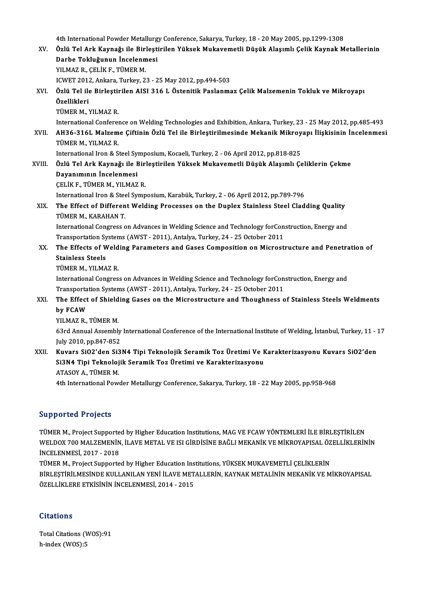4th International Powder Metallurgy Conference, Sakarya, Turkey, 18 - 20 May 2005, pp.1299-1308<br>Özlü Tel Ark Kovnağı ile Birlestirilen Yüksek Mukayemetli Düşük Alesumlı Celik Kovnak M

|        | 4th International Powder Metallurgy Conference, Sakarya, Turkey, 18 - 20 May 2005, pp.1299-1308                    |
|--------|--------------------------------------------------------------------------------------------------------------------|
| XV.    | Özlü Tel Ark Kaynağı ile Birleştirilen Yüksek Mukavemetli Düşük Alaşımlı Çelik Kaynak Metallerinin                 |
|        | Darbe Tokluğunun İncelenmesi                                                                                       |
|        | YILMAZ R., ÇELİK F., TÜMER M.                                                                                      |
|        | ICWET 2012, Ankara, Turkey, 23 - 25 May 2012, pp.494-503                                                           |
| XVI.   | Özlü Tel ile Birleştirilen AISI 316 L Östenitik Paslanmaz Çelik Malzemenin Tokluk ve Mikroyapı                     |
|        | Özellikleri                                                                                                        |
|        | TÜMER M., YILMAZ R.                                                                                                |
|        | International Conference on Welding Technologies and Exhibition, Ankara, Turkey, 23 - 25 May 2012, pp.485-493      |
| XVII.  | AH36-316L Malzeme Çiftinin Özlü Tel ile Birleştirilmesinde Mekanik Mikroyapı İlişkisinin İncelenmesi               |
|        | TÜMER M., YILMAZ R.                                                                                                |
|        | International Iron & Steel Symposium, Kocaeli, Turkey, 2 - 06 April 2012, pp.818-825                               |
| XVIII. | Özlü Tel Ark Kaynağı ile Birleştirilen Yüksek Mukavemetli Düşük Alaşımlı Çeliklerin Çekme                          |
|        | Dayanımının İncelenmesi                                                                                            |
|        | ÇELİK F., TÜMER M., YILMAZ R.                                                                                      |
|        | International Iron & Steel Symposium, Karabük, Turkey, 2 - 06 April 2012, pp.789-796                               |
| XIX.   | The Effect of Different Welding Processes on the Duplex Stainless Steel Cladding Quality                           |
|        | TÜMER M., KARAHAN T.                                                                                               |
|        | International Congress on Advances in Welding Science and Technology forConstruction, Energy and                   |
|        | Transportation Systems (AWST - 2011), Antalya, Turkey, 24 - 25 October 2011                                        |
| XX.    | The Effects of Welding Parameters and Gases Composition on Microstructure and Penetration of                       |
|        | <b>Stainless Steels</b>                                                                                            |
|        | TÜMER M., YILMAZ R.                                                                                                |
|        | International Congress on Advances in Welding Science and Technology for Construction, Energy and                  |
|        | Transportation Systems (AWST - 2011), Antalya, Turkey, 24 - 25 October 2011                                        |
| XXI.   | The Effect of Shielding Gases on the Microstructure and Thoughness of Stainless Steels Weldments                   |
|        | by FCAW                                                                                                            |
|        | YILMAZ R., TÜMER M.                                                                                                |
|        | 63rd Annual Assembly International Conference of the International Institute of Welding, İstanbul, Turkey, 11 - 17 |
|        | July 2010, pp 847-852                                                                                              |
| XXII.  | Kuvars SiO2'den Si3N4 Tipi Teknolojik Seramik Toz Üretimi Ve Karakterizasyonu Kuvars SiO2'den                      |
|        | Si3N4 Tipi Teknolojik Seramik Toz Üretimi ve Karakterizasyonu                                                      |
|        | ATASOY A., TÜMER M.                                                                                                |
|        | 4th International Powder Metallurgy Conference, Sakarya, Turkey, 18 - 22 May 2005, pp.958-968                      |
|        |                                                                                                                    |

#### Supported Projects

TÜMERM., Project Supported by Higher Education Institutions, MAG VE FCAW YÖNTEMLERİ İLE BİRLEŞTİRİLEN ULPPOTTOR TTOJOCCO<br>TÜMER M., Project Supported by Higher Education Institutions, MAG VE FCAW YÖNTEMLERİ İLE BİRLEŞTİRİLEN<br>WELDOX 700 MALZEMENİN, İLAVE METAL VE ISI GİRDİSİNE BAĞLI MEKANİK VE MİKROYAPISAL ÖZELLİKLERİNİN<br>İNC TÜMER M., Project Supporte<br>WELDOX 700 MALZEMENİN<br>İNCELENMESİ, 2017 - 2018<br>TÜMER M., Project Supporte WELDOX 700 MALZEMENİN, İLAVE METAL VE ISI GİRDİSİNE BAĞLI MEKANİK VE MİKROYAPISAL ÖZ<br>İNCELENMESİ, 2017 - 2018<br>TÜMER M., Project Supported by Higher Education Institutions, YÜKSEK MUKAVEMETLİ ÇELİKLERİN<br>PİPLESTİPİLMESİNDE K

İNCELENMESİ, 2017 - 2018<br>TÜMER M., Project Supported by Higher Education Institutions, YÜKSEK MUKAVEMETLİ ÇELİKLERİN<br>BİRLEŞTİRİLMESİNDE KULLANILAN YENİ İLAVE METALLERİN, KAYNAK METALİNİN MEKANİK VE MİKROYAPISAL<br>ÖZELLİKLERE TÜMER M., Project Supported by Higher Education Ins<br>BİRLEŞTİRİLMESİNDE KULLANILAN YENİ İLAVE MET<br>ÖZELLİKLERE ETKİSİNİN İNCELENMESİ, 2014 - 2015

#### **Citations**

Citations<br>Total Citations (WOS):91<br>h index (WOS):5 h-index (WOS):5